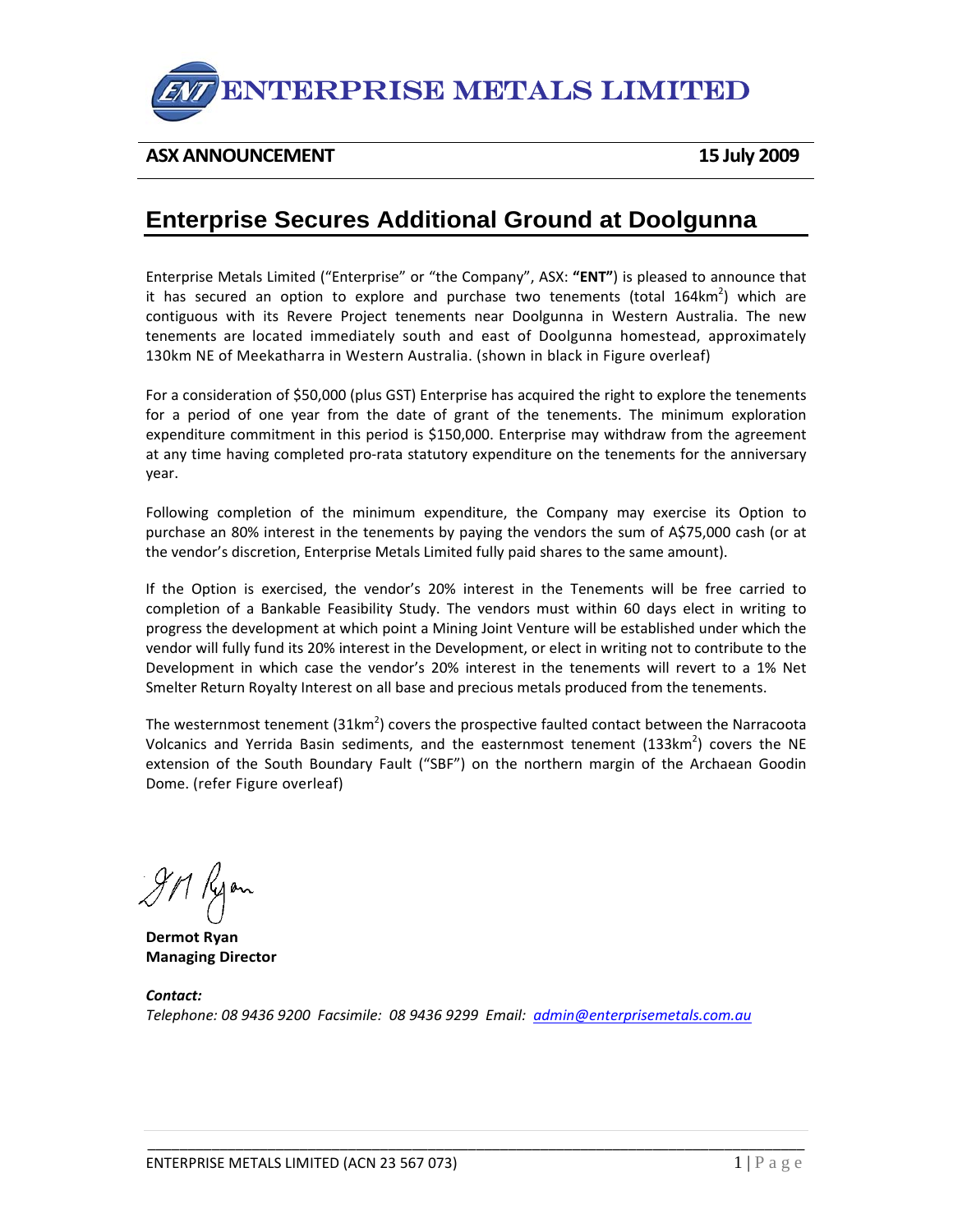

## **ASX ANNOUNCEMENT 15 July 2009**

## **Enterprise Secures Additional Ground at Doolgunna**

Enterprise Metals Limited ("Enterprise" or "the Company", ASX: **"ENT"**) is pleased to announce that it has secured an option to explore and purchase two tenements (total 164 $km^2$ ) which are contiguous with its Revere Project tenements near Doolgunna in Western Australia. The new tenements are located immediately south and east of Doolgunna homestead, approximately 130km NE of Meekatharra in Western Australia. (shown in black in Figure overleaf)

For a consideration of \$50,000 (plus GST) Enterprise has acquired the right to explore the tenements for a period of one year from the date of grant of the tenements. The minimum exploration expenditure commitment in this period is \$150,000. Enterprise may withdraw from the agreement at any time having completed pro-rata statutory expenditure on the tenements for the anniversary year.

Following completion of the minimum expenditure, the Company may exercise its Option to purchase an 80% interest in the tenements by paying the vendors the sum of A\$75,000 cash (or at the vendor's discretion, Enterprise Metals Limited fully paid shares to the same amount).

If the Option is exercised, the vendor's 20% interest in the Tenements will be free carried to completion of a Bankable Feasibility Study. The vendors must within 60 days elect in writing to progress the development at which point a Mining Joint Venture will be established under which the vendor will fully fund its 20% interest in the Development, or elect in writing not to contribute to the Development in which case the vendor's 20% interest in the tenements will revert to a 1% Net Smelter Return Royalty Interest on all base and precious metals produced from the tenements.

The westernmost tenement (31km<sup>2</sup>) covers the prospective faulted contact between the Narracoota Volcanics and Yerrida Basin sediments, and the easternmost tenement  $(133km^2)$  covers the NE extension of the South Boundary Fault ("SBF") on the northern margin of the Archaean Goodin Dome. (refer Figure overleaf)

IM Kyon

**Dermot Ryan Managing Director**

*Contact: Telephone: 08 9436 9200 Facsimile: 08 9436 9299 Email: admin@enterprisemetals.com.au*

\_\_\_\_\_\_\_\_\_\_\_\_\_\_\_\_\_\_\_\_\_\_\_\_\_\_\_\_\_\_\_\_\_\_\_\_\_\_\_\_\_\_\_\_\_\_\_\_\_\_\_\_\_\_\_\_\_\_\_\_\_\_\_\_\_\_\_\_\_\_\_\_\_\_\_\_\_\_\_\_\_\_